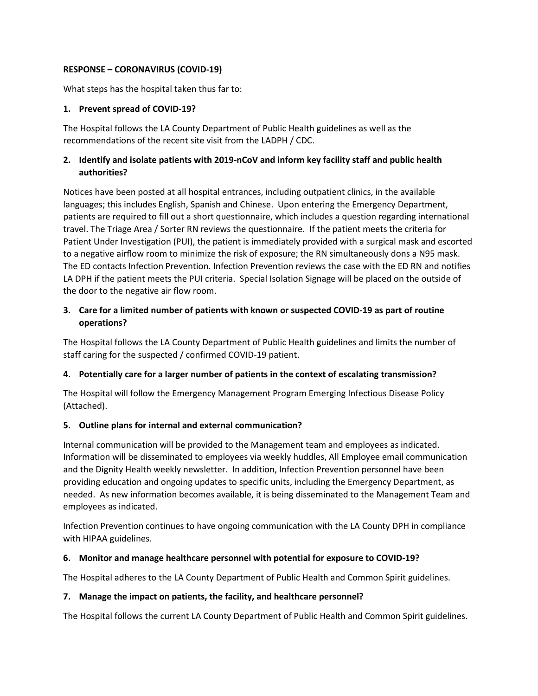#### **RESPONSE – CORONAVIRUS (COVID-19)**

What steps has the hospital taken thus far to:

#### **1. Prevent spread of COVID-19?**

The Hospital follows the LA County Department of Public Health guidelines as well as the recommendations of the recent site visit from the LADPH / CDC.

### **2. Identify and isolate patients with 2019-nCoV and inform key facility staff and public health authorities?**

Notices have been posted at all hospital entrances, including outpatient clinics, in the available languages; this includes English, Spanish and Chinese. Upon entering the Emergency Department, patients are required to fill out a short questionnaire, which includes a question regarding international travel. The Triage Area / Sorter RN reviews the questionnaire. If the patient meets the criteria for Patient Under Investigation (PUI), the patient is immediately provided with a surgical mask and escorted to a negative airflow room to minimize the risk of exposure; the RN simultaneously dons a N95 mask. The ED contacts Infection Prevention. Infection Prevention reviews the case with the ED RN and notifies LA DPH if the patient meets the PUI criteria. Special Isolation Signage will be placed on the outside of the door to the negative air flow room.

## **3. Care for a limited number of patients with known or suspected COVID-19 as part of routine operations?**

The Hospital follows the LA County Department of Public Health guidelines and limits the number of staff caring for the suspected / confirmed COVID-19 patient.

## **4. Potentially care for a larger number of patients in the context of escalating transmission?**

The Hospital will follow the Emergency Management Program Emerging Infectious Disease Policy (Attached).

## **5. Outline plans for internal and external communication?**

Internal communication will be provided to the Management team and employees as indicated. Information will be disseminated to employees via weekly huddles, All Employee email communication and the Dignity Health weekly newsletter. In addition, Infection Prevention personnel have been providing education and ongoing updates to specific units, including the Emergency Department, as needed. As new information becomes available, it is being disseminated to the Management Team and employees as indicated.

Infection Prevention continues to have ongoing communication with the LA County DPH in compliance with HIPAA guidelines.

## **6. Monitor and manage healthcare personnel with potential for exposure to COVID-19?**

The Hospital adheres to the LA County Department of Public Health and Common Spirit guidelines.

#### **7. Manage the impact on patients, the facility, and healthcare personnel?**

The Hospital follows the current LA County Department of Public Health and Common Spirit guidelines.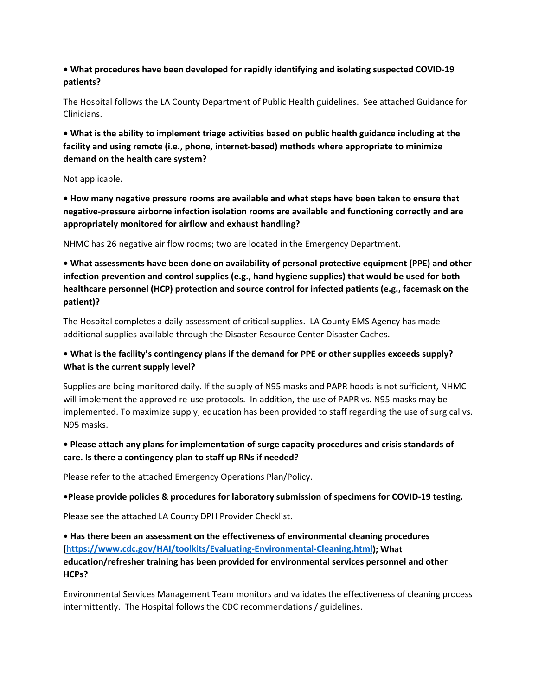### **• What procedures have been developed for rapidly identifying and isolating suspected COVID-19 patients?**

The Hospital follows the LA County Department of Public Health guidelines. See attached Guidance for Clinicians.

**• What is the ability to implement triage activities based on public health guidance including at the facility and using remote (i.e., phone, internet-based) methods where appropriate to minimize demand on the health care system?** 

Not applicable.

**• How many negative pressure rooms are available and what steps have been taken to ensure that negative-pressure airborne infection isolation rooms are available and functioning correctly and are appropriately monitored for airflow and exhaust handling?**

NHMC has 26 negative air flow rooms; two are located in the Emergency Department.

**• What assessments have been done on availability of personal protective equipment (PPE) and other infection prevention and control supplies (e.g., hand hygiene supplies) that would be used for both healthcare personnel (HCP) protection and source control for infected patients (e.g., facemask on the patient)?** 

The Hospital completes a daily assessment of critical supplies. LA County EMS Agency has made additional supplies available through the Disaster Resource Center Disaster Caches.

## **• What is the facility's contingency plans if the demand for PPE or other supplies exceeds supply? What is the current supply level?**

Supplies are being monitored daily. If the supply of N95 masks and PAPR hoods is not sufficient, NHMC will implement the approved re-use protocols. In addition, the use of PAPR vs. N95 masks may be implemented. To maximize supply, education has been provided to staff regarding the use of surgical vs. N95 masks.

# **• Please attach any plans for implementation of surge capacity procedures and crisis standards of care. Is there a contingency plan to staff up RNs if needed?**

Please refer to the attached Emergency Operations Plan/Policy.

**•Please provide policies & procedures for laboratory submission of specimens for COVID-19 testing.**

Please see the attached LA County DPH Provider Checklist.

**• Has there been an assessment on the effectiveness of environmental cleaning procedures [\(https://www.cdc.gov/HAI/toolkits/Evaluating-Environmental-Cleaning.html\)](https://www.cdc.gov/HAI/toolkits/Evaluating-Environmental-Cleaning.html); What education/refresher training has been provided for environmental services personnel and other HCPs?** 

Environmental Services Management Team monitors and validates the effectiveness of cleaning process intermittently. The Hospital follows the CDC recommendations / guidelines.